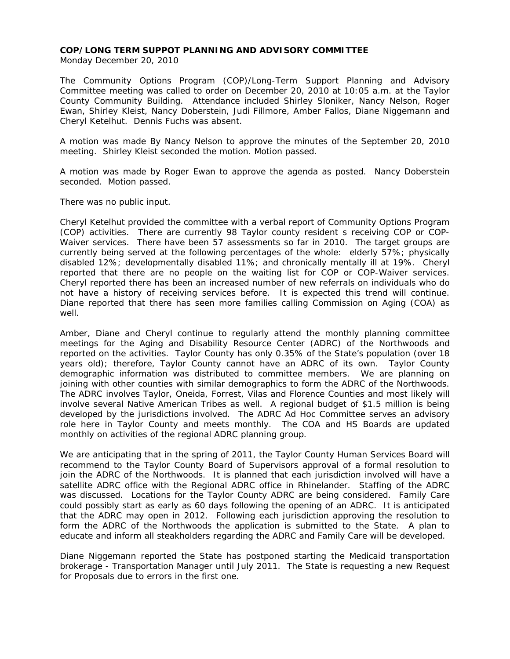## **COP/LONG TERM SUPPOT PLANNING AND ADVISORY COMMITTEE**

Monday December 20, 2010

The Community Options Program (COP)/Long-Term Support Planning and Advisory Committee meeting was called to order on December 20, 2010 at 10:05 a.m. at the Taylor County Community Building. Attendance included Shirley Sloniker, Nancy Nelson, Roger Ewan, Shirley Kleist, Nancy Doberstein, Judi Fillmore, Amber Fallos, Diane Niggemann and Cheryl Ketelhut. Dennis Fuchs was absent.

A motion was made By Nancy Nelson to approve the minutes of the September 20, 2010 meeting. Shirley Kleist seconded the motion. Motion passed.

A motion was made by Roger Ewan to approve the agenda as posted. Nancy Doberstein seconded. Motion passed.

There was no public input.

Cheryl Ketelhut provided the committee with a verbal report of Community Options Program (COP) activities. There are currently 98 Taylor county resident s receiving COP or COP-Waiver services. There have been 57 assessments so far in 2010. The target groups are currently being served at the following percentages of the whole: elderly 57%; physically disabled 12%; developmentally disabled 11%; and chronically mentally ill at 19%. Cheryl reported that there are no people on the waiting list for COP or COP-Waiver services. Cheryl reported there has been an increased number of new referrals on individuals who do not have a history of receiving services before. It is expected this trend will continue. Diane reported that there has seen more families calling Commission on Aging (COA) as well.

Amber, Diane and Cheryl continue to regularly attend the monthly planning committee meetings for the Aging and Disability Resource Center (ADRC) of the Northwoods and reported on the activities. Taylor County has only 0.35% of the State's population (over 18 years old); therefore, Taylor County cannot have an ADRC of its own. Taylor County demographic information was distributed to committee members. We are planning on joining with other counties with similar demographics to form the ADRC of the Northwoods. The ADRC involves Taylor, Oneida, Forrest, Vilas and Florence Counties and most likely will involve several Native American Tribes as well. A regional budget of \$1.5 million is being developed by the jurisdictions involved. The ADRC Ad Hoc Committee serves an advisory role here in Taylor County and meets monthly. The COA and HS Boards are updated monthly on activities of the regional ADRC planning group.

We are anticipating that in the spring of 2011, the Taylor County Human Services Board will recommend to the Taylor County Board of Supervisors approval of a formal resolution to join the ADRC of the Northwoods. It is planned that each jurisdiction involved will have a satellite ADRC office with the Regional ADRC office in Rhinelander. Staffing of the ADRC was discussed. Locations for the Taylor County ADRC are being considered. Family Care could possibly start as early as 60 days following the opening of an ADRC. It is anticipated that the ADRC may open in 2012. Following each jurisdiction approving the resolution to form the ADRC of the Northwoods the application is submitted to the State. A plan to educate and inform all steakholders regarding the ADRC and Family Care will be developed.

Diane Niggemann reported the State has postponed starting the Medicaid transportation brokerage - Transportation Manager until July 2011. The State is requesting a new Request for Proposals due to errors in the first one.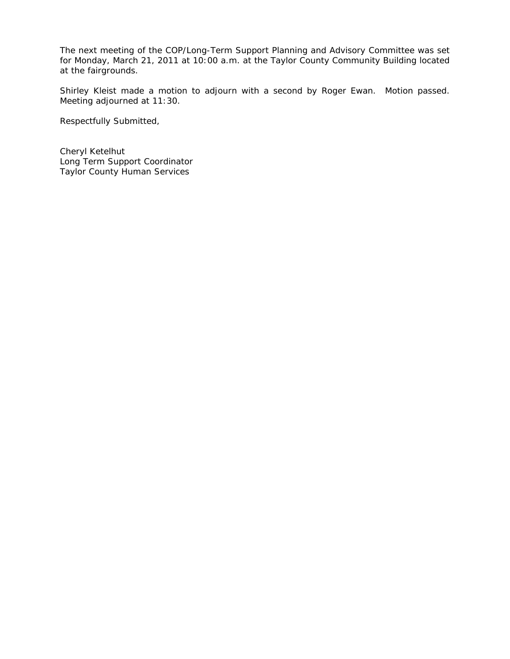The next meeting of the COP/Long-Term Support Planning and Advisory Committee was set for Monday, March 21, 2011 at 10:00 a.m. at the Taylor County Community Building located at the fairgrounds.

Shirley Kleist made a motion to adjourn with a second by Roger Ewan. Motion passed. Meeting adjourned at 11:30.

Respectfully Submitted,

Cheryl Ketelhut Long Term Support Coordinator Taylor County Human Services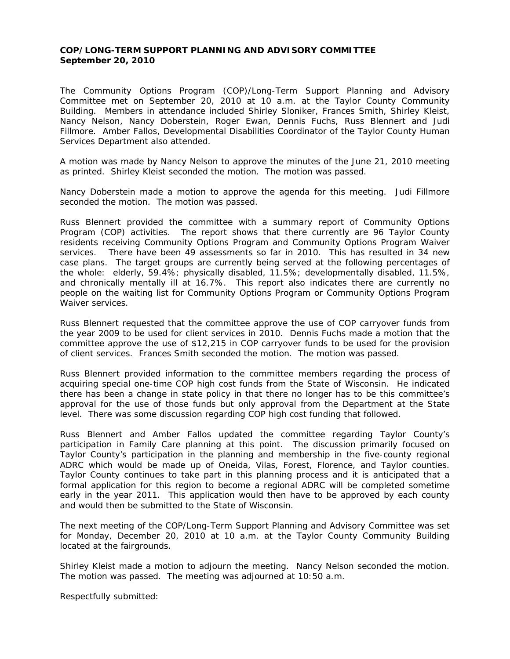## **COP/LONG-TERM SUPPORT PLANNING AND ADVISORY COMMITTEE September 20, 2010**

The Community Options Program (COP)/Long-Term Support Planning and Advisory Committee met on September 20, 2010 at 10 a.m. at the Taylor County Community Building. Members in attendance included Shirley Sloniker, Frances Smith, Shirley Kleist, Nancy Nelson, Nancy Doberstein, Roger Ewan, Dennis Fuchs, Russ Blennert and Judi Fillmore. Amber Fallos, Developmental Disabilities Coordinator of the Taylor County Human Services Department also attended.

A motion was made by Nancy Nelson to approve the minutes of the June 21, 2010 meeting as printed. Shirley Kleist seconded the motion. The motion was passed.

Nancy Doberstein made a motion to approve the agenda for this meeting. Judi Fillmore seconded the motion. The motion was passed.

Russ Blennert provided the committee with a summary report of Community Options Program (COP) activities. The report shows that there currently are 96 Taylor County residents receiving Community Options Program and Community Options Program Waiver services. There have been 49 assessments so far in 2010. This has resulted in 34 new case plans. The target groups are currently being served at the following percentages of the whole: elderly, 59.4%; physically disabled, 11.5%; developmentally disabled, 11.5%, and chronically mentally ill at 16.7%. This report also indicates there are currently no people on the waiting list for Community Options Program or Community Options Program Waiver services.

Russ Blennert requested that the committee approve the use of COP carryover funds from the year 2009 to be used for client services in 2010. Dennis Fuchs made a motion that the committee approve the use of \$12,215 in COP carryover funds to be used for the provision of client services. Frances Smith seconded the motion. The motion was passed.

Russ Blennert provided information to the committee members regarding the process of acquiring special one-time COP high cost funds from the State of Wisconsin. He indicated there has been a change in state policy in that there no longer has to be this committee's approval for the use of those funds but only approval from the Department at the State level. There was some discussion regarding COP high cost funding that followed.

Russ Blennert and Amber Fallos updated the committee regarding Taylor County's participation in Family Care planning at this point. The discussion primarily focused on Taylor County's participation in the planning and membership in the five-county regional ADRC which would be made up of Oneida, Vilas, Forest, Florence, and Taylor counties. Taylor County continues to take part in this planning process and it is anticipated that a formal application for this region to become a regional ADRC will be completed sometime early in the year 2011. This application would then have to be approved by each county and would then be submitted to the State of Wisconsin.

The next meeting of the COP/Long-Term Support Planning and Advisory Committee was set for Monday, December 20, 2010 at 10 a.m. at the Taylor County Community Building located at the fairgrounds.

Shirley Kleist made a motion to adjourn the meeting. Nancy Nelson seconded the motion. The motion was passed. The meeting was adjourned at 10:50 a.m.

Respectfully submitted: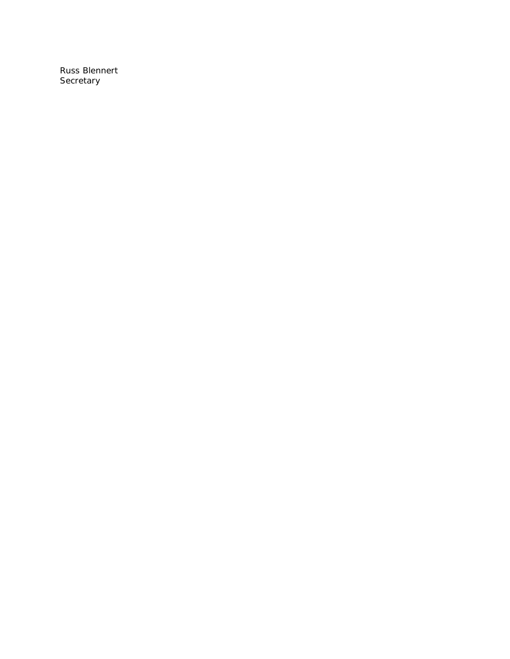Russ Blennert **Secretary**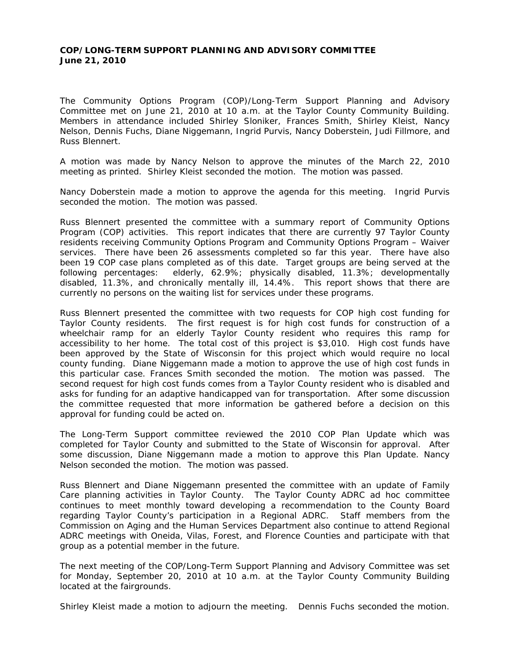## **COP/LONG-TERM SUPPORT PLANNING AND ADVISORY COMMITTEE June 21, 2010**

The Community Options Program (COP)/Long-Term Support Planning and Advisory Committee met on June 21, 2010 at 10 a.m. at the Taylor County Community Building. Members in attendance included Shirley Sloniker, Frances Smith, Shirley Kleist, Nancy Nelson, Dennis Fuchs, Diane Niggemann, Ingrid Purvis, Nancy Doberstein, Judi Fillmore, and Russ Blennert.

A motion was made by Nancy Nelson to approve the minutes of the March 22, 2010 meeting as printed. Shirley Kleist seconded the motion. The motion was passed.

Nancy Doberstein made a motion to approve the agenda for this meeting. Ingrid Purvis seconded the motion. The motion was passed.

Russ Blennert presented the committee with a summary report of Community Options Program (COP) activities. This report indicates that there are currently 97 Taylor County residents receiving Community Options Program and Community Options Program – Waiver services. There have been 26 assessments completed so far this year. There have also been 19 COP case plans completed as of this date. Target groups are being served at the following percentages: elderly, 62.9%; physically disabled, 11.3%; developmentally disabled, 11.3%, and chronically mentally ill, 14.4%. This report shows that there are currently no persons on the waiting list for services under these programs.

Russ Blennert presented the committee with two requests for COP high cost funding for Taylor County residents. The first request is for high cost funds for construction of a wheelchair ramp for an elderly Taylor County resident who requires this ramp for accessibility to her home. The total cost of this project is \$3,010. High cost funds have been approved by the State of Wisconsin for this project which would require no local county funding. Diane Niggemann made a motion to approve the use of high cost funds in this particular case. Frances Smith seconded the motion. The motion was passed. The second request for high cost funds comes from a Taylor County resident who is disabled and asks for funding for an adaptive handicapped van for transportation. After some discussion the committee requested that more information be gathered before a decision on this approval for funding could be acted on.

The Long-Term Support committee reviewed the 2010 COP Plan Update which was completed for Taylor County and submitted to the State of Wisconsin for approval. After some discussion, Diane Niggemann made a motion to approve this Plan Update. Nancy Nelson seconded the motion. The motion was passed.

Russ Blennert and Diane Niggemann presented the committee with an update of Family Care planning activities in Taylor County. The Taylor County ADRC ad hoc committee continues to meet monthly toward developing a recommendation to the County Board regarding Taylor County's participation in a Regional ADRC. Staff members from the Commission on Aging and the Human Services Department also continue to attend Regional ADRC meetings with Oneida, Vilas, Forest, and Florence Counties and participate with that group as a potential member in the future.

The next meeting of the COP/Long-Term Support Planning and Advisory Committee was set for Monday, September 20, 2010 at 10 a.m. at the Taylor County Community Building located at the fairgrounds.

Shirley Kleist made a motion to adjourn the meeting. Dennis Fuchs seconded the motion.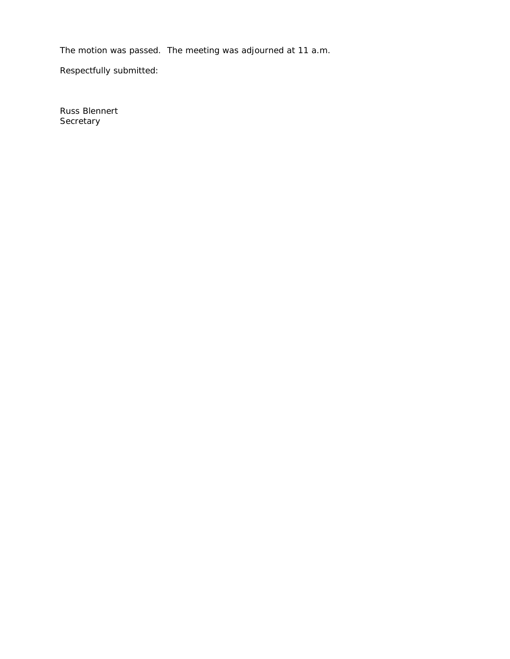The motion was passed. The meeting was adjourned at 11 a.m.

Respectfully submitted:

Russ Blennert **Secretary**